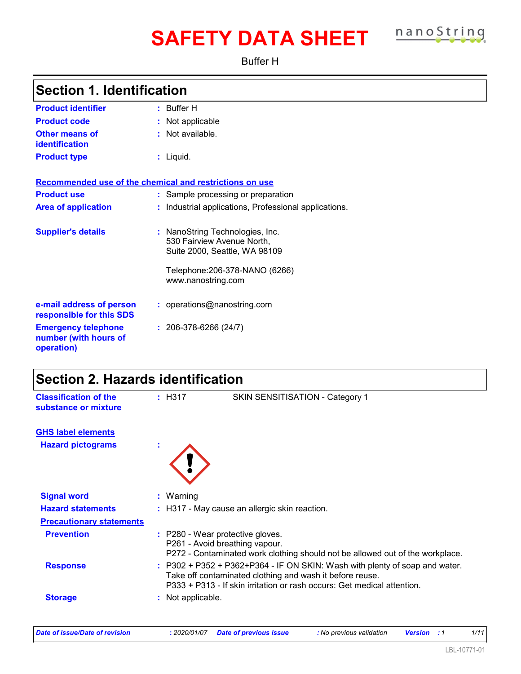# **SAFETY DATA SHEET nanoString**

Buffer H

| <b>Section 1. Identification</b>                                  |                                                                                                                                                     |
|-------------------------------------------------------------------|-----------------------------------------------------------------------------------------------------------------------------------------------------|
| <b>Product identifier</b>                                         | $:$ Buffer H                                                                                                                                        |
| <b>Product code</b>                                               | Not applicable                                                                                                                                      |
| <b>Other means of</b><br>identification                           | : Not available.                                                                                                                                    |
| <b>Product type</b>                                               | $:$ Liquid.                                                                                                                                         |
| Recommended use of the chemical and restrictions on use           |                                                                                                                                                     |
| <b>Product use</b>                                                | : Sample processing or preparation                                                                                                                  |
| <b>Area of application</b>                                        | : Industrial applications, Professional applications.                                                                                               |
| <b>Supplier's details</b>                                         | : NanoString Technologies, Inc.<br>530 Fairview Avenue North,<br>Suite 2000, Seattle, WA 98109                                                      |
|                                                                   | Telephone: 206-378-NANO (6266)<br>www.nanostring.com                                                                                                |
| e-mail address of person<br>responsible for this SDS              | : operations@nanostring.com                                                                                                                         |
| <b>Emergency telephone</b><br>number (with hours of<br>operation) | $: 206-378-6266(24/7)$                                                                                                                              |
| <b>Section 2. Hazards identification</b>                          |                                                                                                                                                     |
| <b>Classification of the</b><br>substance or mixture              | : H317<br>SKIN SENSITISATION - Category 1                                                                                                           |
| <b>GHS label elements</b><br><b>Hazard pictograms</b>             |                                                                                                                                                     |
| <b>Signal word</b>                                                | : Warning                                                                                                                                           |
| <b>Hazard statements</b>                                          | : H317 - May cause an allergic skin reaction.                                                                                                       |
| <b>Precautionary statements</b>                                   |                                                                                                                                                     |
| <b>Prevention</b>                                                 | : P280 - Wear protective gloves.<br>P261 - Avoid breathing vapour.<br>P272 - Contaminated work clothing should not be allowed out of the workplace. |

**Response :** P302 + P352 + P362+P364 - IF ON SKIN: Wash with plenty of soap and water.

**Storage :** Not applicable.

Take off contaminated clothing and wash it before reuse.

P333 + P313 - If skin irritation or rash occurs: Get medical attention.

*Date of issue/Date of revision* **:** *2020/01/07 Date of previous issue : No previous validation Version : 1 1/11*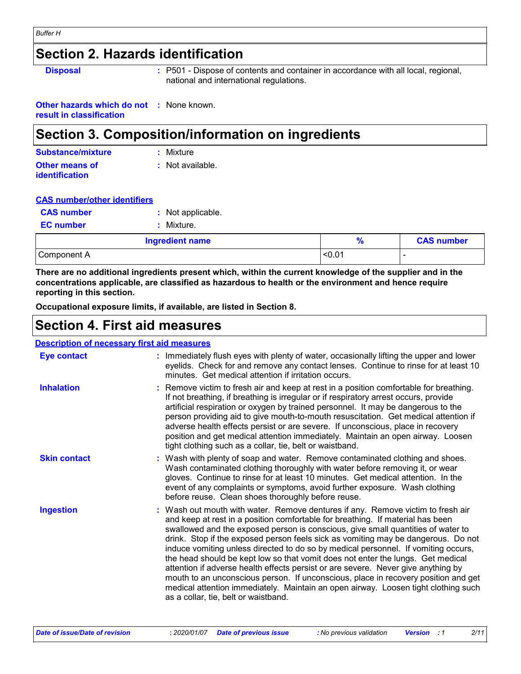### **Section 2. Hazards identification**

**Disposal :** P501 - Dispose of contents and container in accordance with all local, regional, national and international regulations.

**Other hazards which do not :** None known. **result in classification**

### **Section 3. Composition/information on ingredients**

| Substance/mixture     | : Mixture        |
|-----------------------|------------------|
| Other means of        | : Not available. |
| <b>identification</b> |                  |

| <b>CAS number/other identifiers</b> |
|-------------------------------------|
|-------------------------------------|

|                   | <b>Ingredient name</b> |
|-------------------|------------------------|
| <b>EC</b> number  | : Mixture.             |
| <b>CAS number</b> | : Not applicable.      |

| <b>Ingredient name</b> |        | <b>CAS number</b> |
|------------------------|--------|-------------------|
| Component A            | < 0.01 | -                 |

**There are no additional ingredients present which, within the current knowledge of the supplier and in the concentrations applicable, are classified as hazardous to health or the environment and hence require reporting in this section.**

**Occupational exposure limits, if available, are listed in Section 8.**

### **Section 4. First aid measures**

#### **Description of necessary first aid measures**

| <b>Eye contact</b>  | : Immediately flush eyes with plenty of water, occasionally lifting the upper and lower<br>eyelids. Check for and remove any contact lenses. Continue to rinse for at least 10<br>minutes. Get medical attention if irritation occurs.                                                                                                                                                                                                                                                                                                                                                                                                                                                                                                                                                                                       |
|---------------------|------------------------------------------------------------------------------------------------------------------------------------------------------------------------------------------------------------------------------------------------------------------------------------------------------------------------------------------------------------------------------------------------------------------------------------------------------------------------------------------------------------------------------------------------------------------------------------------------------------------------------------------------------------------------------------------------------------------------------------------------------------------------------------------------------------------------------|
| <b>Inhalation</b>   | : Remove victim to fresh air and keep at rest in a position comfortable for breathing.<br>If not breathing, if breathing is irregular or if respiratory arrest occurs, provide<br>artificial respiration or oxygen by trained personnel. It may be dangerous to the<br>person providing aid to give mouth-to-mouth resuscitation. Get medical attention if<br>adverse health effects persist or are severe. If unconscious, place in recovery<br>position and get medical attention immediately. Maintain an open airway. Loosen<br>tight clothing such as a collar, tie, belt or waistband.                                                                                                                                                                                                                                 |
| <b>Skin contact</b> | : Wash with plenty of soap and water. Remove contaminated clothing and shoes.<br>Wash contaminated clothing thoroughly with water before removing it, or wear<br>gloves. Continue to rinse for at least 10 minutes. Get medical attention. In the<br>event of any complaints or symptoms, avoid further exposure. Wash clothing<br>before reuse. Clean shoes thoroughly before reuse.                                                                                                                                                                                                                                                                                                                                                                                                                                        |
| <b>Ingestion</b>    | : Wash out mouth with water. Remove dentures if any. Remove victim to fresh air<br>and keep at rest in a position comfortable for breathing. If material has been<br>swallowed and the exposed person is conscious, give small quantities of water to<br>drink. Stop if the exposed person feels sick as vomiting may be dangerous. Do not<br>induce vomiting unless directed to do so by medical personnel. If vomiting occurs,<br>the head should be kept low so that vomit does not enter the lungs. Get medical<br>attention if adverse health effects persist or are severe. Never give anything by<br>mouth to an unconscious person. If unconscious, place in recovery position and get<br>medical attention immediately. Maintain an open airway. Loosen tight clothing such<br>as a collar, tie, belt or waistband. |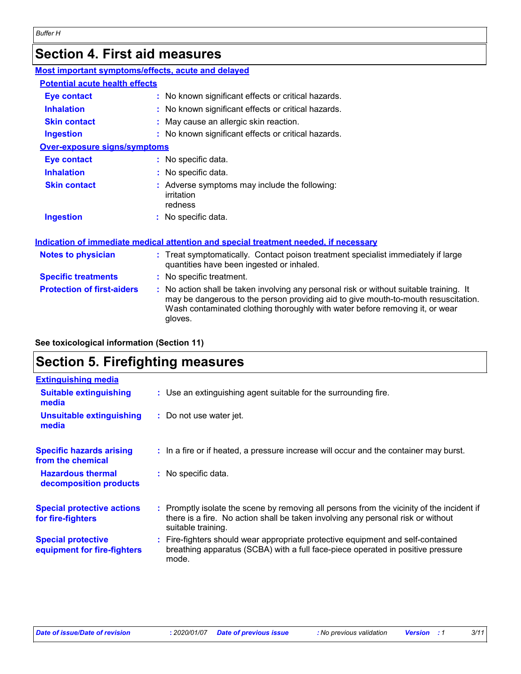# **Section 4. First aid measures**

| Most important symptoms/effects, acute and delayed |                                                                                                                                                                                                                                                                          |
|----------------------------------------------------|--------------------------------------------------------------------------------------------------------------------------------------------------------------------------------------------------------------------------------------------------------------------------|
| <b>Potential acute health effects</b>              |                                                                                                                                                                                                                                                                          |
| <b>Eye contact</b>                                 | : No known significant effects or critical hazards.                                                                                                                                                                                                                      |
| <b>Inhalation</b>                                  | : No known significant effects or critical hazards.                                                                                                                                                                                                                      |
| <b>Skin contact</b>                                | : May cause an allergic skin reaction.                                                                                                                                                                                                                                   |
| <b>Ingestion</b>                                   | : No known significant effects or critical hazards.                                                                                                                                                                                                                      |
| Over-exposure signs/symptoms                       |                                                                                                                                                                                                                                                                          |
| <b>Eye contact</b>                                 | : No specific data.                                                                                                                                                                                                                                                      |
| <b>Inhalation</b>                                  | : No specific data.                                                                                                                                                                                                                                                      |
| <b>Skin contact</b>                                | : Adverse symptoms may include the following:<br>irritation<br>redness                                                                                                                                                                                                   |
| <b>Ingestion</b>                                   | : No specific data.                                                                                                                                                                                                                                                      |
|                                                    | Indication of immediate medical attention and special treatment needed, if necessary                                                                                                                                                                                     |
| <b>Notes to physician</b>                          | : Treat symptomatically. Contact poison treatment specialist immediately if large<br>quantities have been ingested or inhaled.                                                                                                                                           |
| <b>Specific treatments</b>                         | : No specific treatment.                                                                                                                                                                                                                                                 |
| <b>Protection of first-aiders</b>                  | : No action shall be taken involving any personal risk or without suitable training. It<br>may be dangerous to the person providing aid to give mouth-to-mouth resuscitation.<br>Wash contaminated clothing thoroughly with water before removing it, or wear<br>gloves. |

**See toxicological information (Section 11)**

### **Section 5. Firefighting measures**

| <b>Extinguishing media</b>                               |                                                                                                                                                                                                     |
|----------------------------------------------------------|-----------------------------------------------------------------------------------------------------------------------------------------------------------------------------------------------------|
| <b>Suitable extinguishing</b><br>media                   | : Use an extinguishing agent suitable for the surrounding fire.                                                                                                                                     |
| <b>Unsuitable extinguishing</b><br>media                 | : Do not use water jet.                                                                                                                                                                             |
| <b>Specific hazards arising</b><br>from the chemical     | : In a fire or if heated, a pressure increase will occur and the container may burst.                                                                                                               |
| <b>Hazardous thermal</b><br>decomposition products       | : No specific data.                                                                                                                                                                                 |
| <b>Special protective actions</b><br>for fire-fighters   | : Promptly isolate the scene by removing all persons from the vicinity of the incident if<br>there is a fire. No action shall be taken involving any personal risk or without<br>suitable training. |
| <b>Special protective</b><br>equipment for fire-fighters | : Fire-fighters should wear appropriate protective equipment and self-contained<br>breathing apparatus (SCBA) with a full face-piece operated in positive pressure<br>mode.                         |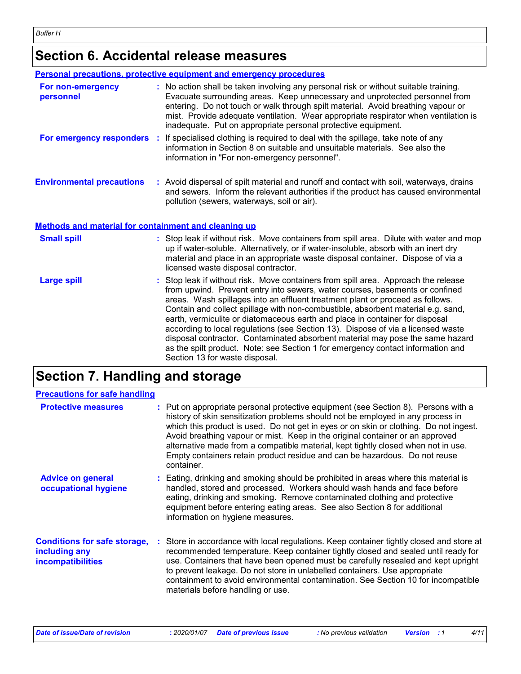# **Section 6. Accidental release measures**

|                                                      | Personal precautions, protective equipment and emergency procedures                                                                                                                                                                                                                                                                                                                                                                                                                                                                                                                                                                                                                                               |
|------------------------------------------------------|-------------------------------------------------------------------------------------------------------------------------------------------------------------------------------------------------------------------------------------------------------------------------------------------------------------------------------------------------------------------------------------------------------------------------------------------------------------------------------------------------------------------------------------------------------------------------------------------------------------------------------------------------------------------------------------------------------------------|
| For non-emergency<br>personnel                       | : No action shall be taken involving any personal risk or without suitable training.<br>Evacuate surrounding areas. Keep unnecessary and unprotected personnel from<br>entering. Do not touch or walk through spilt material. Avoid breathing vapour or<br>mist. Provide adequate ventilation. Wear appropriate respirator when ventilation is<br>inadequate. Put on appropriate personal protective equipment.                                                                                                                                                                                                                                                                                                   |
|                                                      | For emergency responders : If specialised clothing is required to deal with the spillage, take note of any<br>information in Section 8 on suitable and unsuitable materials. See also the<br>information in "For non-emergency personnel".                                                                                                                                                                                                                                                                                                                                                                                                                                                                        |
| <b>Environmental precautions</b>                     | : Avoid dispersal of spilt material and runoff and contact with soil, waterways, drains<br>and sewers. Inform the relevant authorities if the product has caused environmental<br>pollution (sewers, waterways, soil or air).                                                                                                                                                                                                                                                                                                                                                                                                                                                                                     |
| Methods and material for containment and cleaning up |                                                                                                                                                                                                                                                                                                                                                                                                                                                                                                                                                                                                                                                                                                                   |
| <b>Small spill</b>                                   | : Stop leak if without risk. Move containers from spill area. Dilute with water and mop<br>up if water-soluble. Alternatively, or if water-insoluble, absorb with an inert dry<br>material and place in an appropriate waste disposal container. Dispose of via a<br>licensed waste disposal contractor.                                                                                                                                                                                                                                                                                                                                                                                                          |
| <b>Large spill</b>                                   | : Stop leak if without risk. Move containers from spill area. Approach the release<br>from upwind. Prevent entry into sewers, water courses, basements or confined<br>areas. Wash spillages into an effluent treatment plant or proceed as follows.<br>Contain and collect spillage with non-combustible, absorbent material e.g. sand,<br>earth, vermiculite or diatomaceous earth and place in container for disposal<br>according to local regulations (see Section 13). Dispose of via a licensed waste<br>disposal contractor. Contaminated absorbent material may pose the same hazard<br>as the spilt product. Note: see Section 1 for emergency contact information and<br>Section 13 for waste disposal. |

## **Section 7. Handling and storage**

| <b>Precautions for safe handling</b>                                             |                                                                                                                                                                                                                                                                                                                                                                                                                                                                                                                                  |
|----------------------------------------------------------------------------------|----------------------------------------------------------------------------------------------------------------------------------------------------------------------------------------------------------------------------------------------------------------------------------------------------------------------------------------------------------------------------------------------------------------------------------------------------------------------------------------------------------------------------------|
| <b>Protective measures</b>                                                       | : Put on appropriate personal protective equipment (see Section 8). Persons with a<br>history of skin sensitization problems should not be employed in any process in<br>which this product is used. Do not get in eyes or on skin or clothing. Do not ingest.<br>Avoid breathing vapour or mist. Keep in the original container or an approved<br>alternative made from a compatible material, kept tightly closed when not in use.<br>Empty containers retain product residue and can be hazardous. Do not reuse<br>container. |
| <b>Advice on general</b><br>occupational hygiene                                 | : Eating, drinking and smoking should be prohibited in areas where this material is<br>handled, stored and processed. Workers should wash hands and face before<br>eating, drinking and smoking. Remove contaminated clothing and protective<br>equipment before entering eating areas. See also Section 8 for additional<br>information on hygiene measures.                                                                                                                                                                    |
| <b>Conditions for safe storage,</b><br>including any<br><i>incompatibilities</i> | : Store in accordance with local regulations. Keep container tightly closed and store at<br>recommended temperature. Keep container tightly closed and sealed until ready for<br>use. Containers that have been opened must be carefully resealed and kept upright<br>to prevent leakage. Do not store in unlabelled containers. Use appropriate<br>containment to avoid environmental contamination. See Section 10 for incompatible<br>materials before handling or use.                                                       |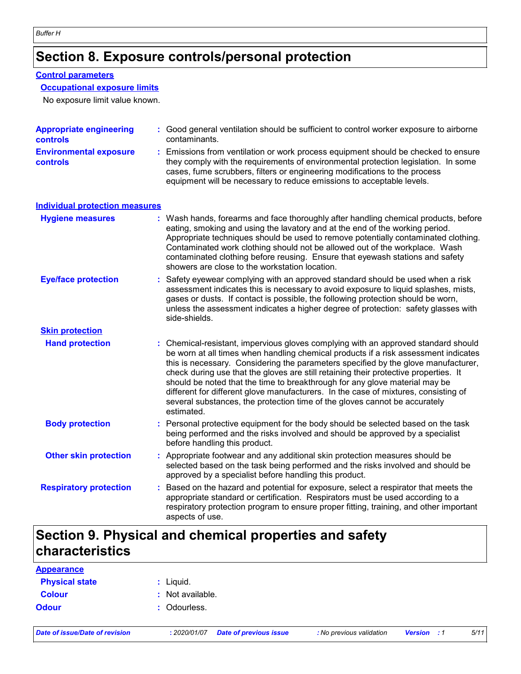### **Section 8. Exposure controls/personal protection**

#### **Control parameters**

#### **Occupational exposure limits**

No exposure limit value known.

| <b>Appropriate engineering</b><br>controls       | : Good general ventilation should be sufficient to control worker exposure to airborne<br>contaminants.                                                                                                                                                                                                                                                                                                                                                                                                                                                                                                                   |  |
|--------------------------------------------------|---------------------------------------------------------------------------------------------------------------------------------------------------------------------------------------------------------------------------------------------------------------------------------------------------------------------------------------------------------------------------------------------------------------------------------------------------------------------------------------------------------------------------------------------------------------------------------------------------------------------------|--|
| <b>Environmental exposure</b><br><b>controls</b> | : Emissions from ventilation or work process equipment should be checked to ensure<br>they comply with the requirements of environmental protection legislation. In some<br>cases, fume scrubbers, filters or engineering modifications to the process<br>equipment will be necessary to reduce emissions to acceptable levels.                                                                                                                                                                                                                                                                                           |  |
| <b>Individual protection measures</b>            |                                                                                                                                                                                                                                                                                                                                                                                                                                                                                                                                                                                                                           |  |
| <b>Hygiene measures</b>                          | : Wash hands, forearms and face thoroughly after handling chemical products, before<br>eating, smoking and using the lavatory and at the end of the working period.<br>Appropriate techniques should be used to remove potentially contaminated clothing.<br>Contaminated work clothing should not be allowed out of the workplace. Wash<br>contaminated clothing before reusing. Ensure that eyewash stations and safety<br>showers are close to the workstation location.                                                                                                                                               |  |
| <b>Eye/face protection</b>                       | Safety eyewear complying with an approved standard should be used when a risk<br>assessment indicates this is necessary to avoid exposure to liquid splashes, mists,<br>gases or dusts. If contact is possible, the following protection should be worn,<br>unless the assessment indicates a higher degree of protection: safety glasses with<br>side-shields.                                                                                                                                                                                                                                                           |  |
| <b>Skin protection</b>                           |                                                                                                                                                                                                                                                                                                                                                                                                                                                                                                                                                                                                                           |  |
| <b>Hand protection</b>                           | : Chemical-resistant, impervious gloves complying with an approved standard should<br>be worn at all times when handling chemical products if a risk assessment indicates<br>this is necessary. Considering the parameters specified by the glove manufacturer,<br>check during use that the gloves are still retaining their protective properties. It<br>should be noted that the time to breakthrough for any glove material may be<br>different for different glove manufacturers. In the case of mixtures, consisting of<br>several substances, the protection time of the gloves cannot be accurately<br>estimated. |  |
| <b>Body protection</b>                           | : Personal protective equipment for the body should be selected based on the task<br>being performed and the risks involved and should be approved by a specialist<br>before handling this product.                                                                                                                                                                                                                                                                                                                                                                                                                       |  |
| <b>Other skin protection</b>                     | : Appropriate footwear and any additional skin protection measures should be<br>selected based on the task being performed and the risks involved and should be<br>approved by a specialist before handling this product.                                                                                                                                                                                                                                                                                                                                                                                                 |  |
| <b>Respiratory protection</b>                    | : Based on the hazard and potential for exposure, select a respirator that meets the<br>appropriate standard or certification. Respirators must be used according to a<br>respiratory protection program to ensure proper fitting, training, and other important<br>aspects of use.                                                                                                                                                                                                                                                                                                                                       |  |

### **Section 9. Physical and chemical properties and safety characteristics**

| <b>Appearance</b>     |                  |
|-----------------------|------------------|
| <b>Physical state</b> | : Liquid.        |
| <b>Colour</b>         | : Not available. |
| <b>Odour</b>          | : Odourless.     |
|                       |                  |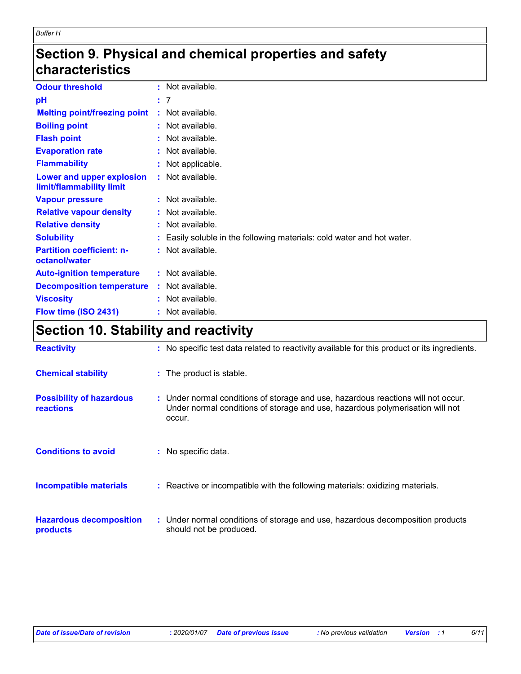### **Section 9. Physical and chemical properties and safety characteristics**

| <b>Odour threshold</b>                                | : Not available.                                                       |
|-------------------------------------------------------|------------------------------------------------------------------------|
| рH                                                    | : 7                                                                    |
| <b>Melting point/freezing point</b>                   | : Not available.                                                       |
| <b>Boiling point</b>                                  | : Not available.                                                       |
| <b>Flash point</b>                                    | : Not available.                                                       |
| <b>Evaporation rate</b>                               | : Not available.                                                       |
| <b>Flammability</b>                                   | : Not applicable.                                                      |
| Lower and upper explosion<br>limit/flammability limit | : Not available.                                                       |
| <b>Vapour pressure</b>                                | : Not available.                                                       |
| <b>Relative vapour density</b>                        | : Not available.                                                       |
| <b>Relative density</b>                               | : Not available.                                                       |
| <b>Solubility</b>                                     | : Easily soluble in the following materials: cold water and hot water. |
| <b>Partition coefficient: n-</b><br>octanol/water     | : Not available.                                                       |
| <b>Auto-ignition temperature</b>                      | : Not available.                                                       |
| <b>Decomposition temperature</b>                      | : Not available.                                                       |
| <b>Viscosity</b>                                      | : Not available.                                                       |
| Flow time (ISO 2431)                                  | : Not available.                                                       |

# **Section 10. Stability and reactivity**

| <b>Reactivity</b>                                   | : No specific test data related to reactivity available for this product or its ingredients.                                                                                 |
|-----------------------------------------------------|------------------------------------------------------------------------------------------------------------------------------------------------------------------------------|
| <b>Chemical stability</b>                           | : The product is stable.                                                                                                                                                     |
| <b>Possibility of hazardous</b><br><b>reactions</b> | : Under normal conditions of storage and use, hazardous reactions will not occur.<br>Under normal conditions of storage and use, hazardous polymerisation will not<br>occur. |
| <b>Conditions to avoid</b>                          | : No specific data.                                                                                                                                                          |
| <b>Incompatible materials</b>                       | : Reactive or incompatible with the following materials: oxidizing materials.                                                                                                |
| <b>Hazardous decomposition</b><br>products          | : Under normal conditions of storage and use, hazardous decomposition products<br>should not be produced.                                                                    |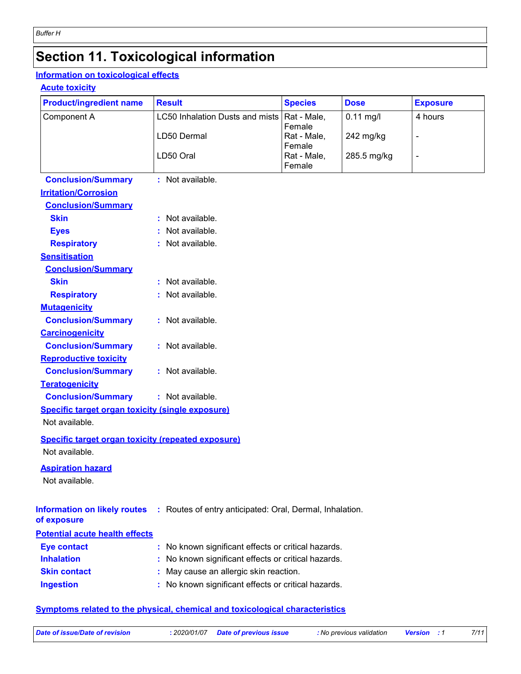# **Section 11. Toxicological information**

#### **Information on toxicological effects**

#### **Acute toxicity**

| <b>Product/ingredient name</b>                            | <b>Result</b>                                            | <b>Species</b>        | <b>Dose</b> | <b>Exposure</b> |  |
|-----------------------------------------------------------|----------------------------------------------------------|-----------------------|-------------|-----------------|--|
| Component A                                               | LC50 Inhalation Dusts and mists                          | Rat - Male,           | $0.11$ mg/l | 4 hours         |  |
|                                                           | LD50 Dermal                                              | Female<br>Rat - Male, | 242 mg/kg   | $\overline{a}$  |  |
|                                                           |                                                          | Female                |             |                 |  |
|                                                           | LD50 Oral                                                | Rat - Male,           | 285.5 mg/kg | $\blacksquare$  |  |
|                                                           |                                                          | Female                |             |                 |  |
| <b>Conclusion/Summary</b>                                 | : Not available.                                         |                       |             |                 |  |
| <b>Irritation/Corrosion</b>                               |                                                          |                       |             |                 |  |
| <b>Conclusion/Summary</b>                                 |                                                          |                       |             |                 |  |
| <b>Skin</b>                                               | : Not available.                                         |                       |             |                 |  |
| <b>Eyes</b>                                               | Not available.                                           |                       |             |                 |  |
| <b>Respiratory</b>                                        | : Not available.                                         |                       |             |                 |  |
| <b>Sensitisation</b><br><b>Conclusion/Summary</b>         |                                                          |                       |             |                 |  |
| <b>Skin</b>                                               | : Not available.                                         |                       |             |                 |  |
| <b>Respiratory</b>                                        | : Not available.                                         |                       |             |                 |  |
| <b>Mutagenicity</b>                                       |                                                          |                       |             |                 |  |
| <b>Conclusion/Summary</b>                                 | : Not available.                                         |                       |             |                 |  |
| <b>Carcinogenicity</b>                                    |                                                          |                       |             |                 |  |
| <b>Conclusion/Summary</b>                                 | : Not available.                                         |                       |             |                 |  |
| <b>Reproductive toxicity</b>                              |                                                          |                       |             |                 |  |
| <b>Conclusion/Summary</b>                                 | : Not available.                                         |                       |             |                 |  |
| <b>Teratogenicity</b>                                     |                                                          |                       |             |                 |  |
| <b>Conclusion/Summary</b>                                 | : Not available.                                         |                       |             |                 |  |
| <b>Specific target organ toxicity (single exposure)</b>   |                                                          |                       |             |                 |  |
| Not available.                                            |                                                          |                       |             |                 |  |
| <b>Specific target organ toxicity (repeated exposure)</b> |                                                          |                       |             |                 |  |
| Not available.                                            |                                                          |                       |             |                 |  |
| <b>Aspiration hazard</b>                                  |                                                          |                       |             |                 |  |
| Not available.                                            |                                                          |                       |             |                 |  |
|                                                           |                                                          |                       |             |                 |  |
| <b>Information on likely routes</b>                       | : Routes of entry anticipated: Oral, Dermal, Inhalation. |                       |             |                 |  |
| of exposure                                               |                                                          |                       |             |                 |  |
| <b>Potential acute health effects</b>                     |                                                          |                       |             |                 |  |
| <b>Eye contact</b>                                        | : No known significant effects or critical hazards.      |                       |             |                 |  |
| <b>Inhalation</b>                                         | No known significant effects or critical hazards.        |                       |             |                 |  |
| <b>Skin contact</b>                                       | May cause an allergic skin reaction.                     |                       |             |                 |  |
| <b>Ingestion</b>                                          | No known significant effects or critical hazards.        |                       |             |                 |  |
|                                                           |                                                          |                       |             |                 |  |

#### **Symptoms related to the physical, chemical and toxicological characteristics**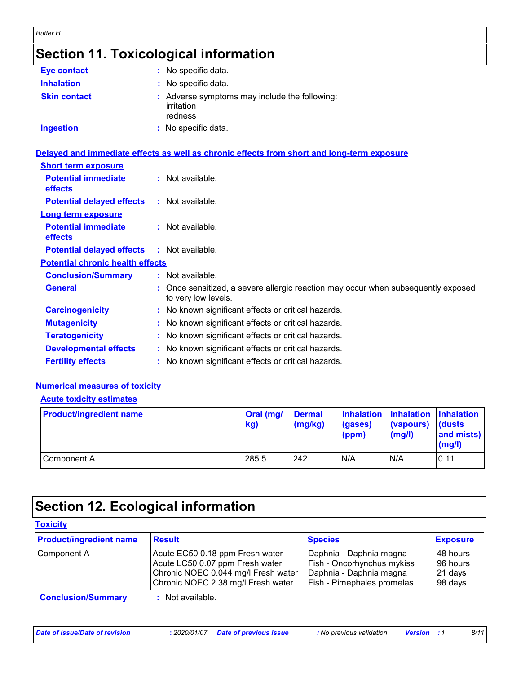# **Section 11. Toxicological information**

| <b>Eye contact</b>  | : No specific data.                                                    |
|---------------------|------------------------------------------------------------------------|
| <b>Inhalation</b>   | : No specific data.                                                    |
| <b>Skin contact</b> | : Adverse symptoms may include the following:<br>irritation<br>redness |
| <b>Ingestion</b>    | : No specific data.                                                    |

|                                              | Delayed and immediate effects as well as chronic effects from short and long-term exposure               |
|----------------------------------------------|----------------------------------------------------------------------------------------------------------|
| <b>Short term exposure</b>                   |                                                                                                          |
| <b>Potential immediate</b><br><b>effects</b> | $:$ Not available.                                                                                       |
| <b>Potential delayed effects</b>             | $:$ Not available.                                                                                       |
| <b>Long term exposure</b>                    |                                                                                                          |
| <b>Potential immediate</b><br><b>effects</b> | $:$ Not available.                                                                                       |
| <b>Potential delayed effects</b>             | : Not available.                                                                                         |
| <b>Potential chronic health effects</b>      |                                                                                                          |
| <b>Conclusion/Summary</b>                    | $:$ Not available.                                                                                       |
| <b>General</b>                               | : Once sensitized, a severe allergic reaction may occur when subsequently exposed<br>to very low levels. |
| <b>Carcinogenicity</b>                       | : No known significant effects or critical hazards.                                                      |
| <b>Mutagenicity</b>                          | : No known significant effects or critical hazards.                                                      |
| <b>Teratogenicity</b>                        | : No known significant effects or critical hazards.                                                      |
| <b>Developmental effects</b>                 | : No known significant effects or critical hazards.                                                      |
| <b>Fertility effects</b>                     | : No known significant effects or critical hazards.                                                      |

#### **Numerical measures of toxicity**

#### **Acute toxicity estimates**

| <b>Product/ingredient name</b> | $ Oral$ (mg/<br>kg) | <b>Dermal</b><br>$\log(kg)$ | (gases)<br>(ppm) | Inhalation Inhalation Inhalation<br>(vapours)<br>(mg/l) | <b>dusts</b><br>and mists)<br>(mg/l) |
|--------------------------------|---------------------|-----------------------------|------------------|---------------------------------------------------------|--------------------------------------|
| Component A                    | 285.5               | 242                         | N/A              | N/A                                                     | 0.11                                 |

# **Section 12. Ecological information**

| <b>Product/ingredient name</b> | <b>Result</b>                                                                                                                                   | <b>Species</b>                                                                                                 | <b>Exposure</b>                            |
|--------------------------------|-------------------------------------------------------------------------------------------------------------------------------------------------|----------------------------------------------------------------------------------------------------------------|--------------------------------------------|
| Component A                    | Acute EC50 0.18 ppm Fresh water<br>Acute LC50 0.07 ppm Fresh water<br>Chronic NOEC 0.044 mg/l Fresh water<br>Chronic NOEC 2.38 mg/l Fresh water | Daphnia - Daphnia magna<br>Fish - Oncorhynchus mykiss<br>Daphnia - Daphnia magna<br>Fish - Pimephales promelas | 48 hours<br>96 hours<br>21 days<br>98 days |
| <b>Conclusion/Summary</b>      | Not available.                                                                                                                                  |                                                                                                                |                                            |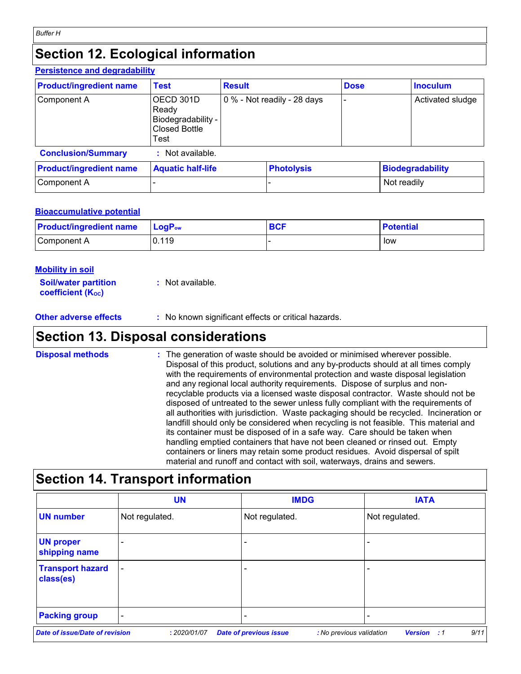#### **Section 12. Ecological information Persistence and degradability**

| <u>Persistence and degradability</u> |                                                                   |               |                             |             |             |                         |
|--------------------------------------|-------------------------------------------------------------------|---------------|-----------------------------|-------------|-------------|-------------------------|
| <b>Product/ingredient name</b>       | <b>Test</b>                                                       | <b>Result</b> |                             | <b>Dose</b> |             | <b>Inoculum</b>         |
| Component A                          | OECD 301D<br>Ready<br>Biodegradability -<br>Closed Bottle<br>Test |               | 0 % - Not readily - 28 days |             |             | Activated sludge        |
| <b>Conclusion/Summary</b>            | Not available.                                                    |               |                             |             |             |                         |
| <b>Product/ingredient name</b>       | <b>Aquatic half-life</b>                                          |               | <b>Photolysis</b>           |             |             | <b>Biodegradability</b> |
| Component A                          |                                                                   |               |                             |             | Not readily |                         |

#### **Bioaccumulative potential**

| <b>Product/ingredient name</b> | $\mathsf{LogP}_\mathsf{ow}$ | <b>BCF</b> | <b>Potential</b> |
|--------------------------------|-----------------------------|------------|------------------|
| Component A                    | 0.119                       |            | low              |

| <u>Mobility in soil</u>                                 |                  |
|---------------------------------------------------------|------------------|
| <b>Soil/water partition</b><br><b>coefficient (Koc)</b> | : Not available. |

**Other adverse effects** : No known significant effects or critical hazards.

### **Section 13. Disposal considerations**

| <b>Disposal methods</b> | : The generation of waste should be avoided or minimised wherever possible.<br>Disposal of this product, solutions and any by-products should at all times comply<br>with the requirements of environmental protection and waste disposal legislation<br>and any regional local authority requirements. Dispose of surplus and non-<br>recyclable products via a licensed waste disposal contractor. Waste should not be<br>disposed of untreated to the sewer unless fully compliant with the requirements of<br>all authorities with jurisdiction. Waste packaging should be recycled. Incineration or<br>landfill should only be considered when recycling is not feasible. This material and<br>its container must be disposed of in a safe way. Care should be taken when<br>handling emptied containers that have not been cleaned or rinsed out. Empty |
|-------------------------|---------------------------------------------------------------------------------------------------------------------------------------------------------------------------------------------------------------------------------------------------------------------------------------------------------------------------------------------------------------------------------------------------------------------------------------------------------------------------------------------------------------------------------------------------------------------------------------------------------------------------------------------------------------------------------------------------------------------------------------------------------------------------------------------------------------------------------------------------------------|
|                         | containers or liners may retain some product residues. Avoid dispersal of spilt<br>material and runoff and contact with soil, waterways, drains and sewers.                                                                                                                                                                                                                                                                                                                                                                                                                                                                                                                                                                                                                                                                                                   |

# **Section 14. Transport information**

|                                       | <b>UN</b>                | <b>IMDG</b>                   |                          | <b>IATA</b>                |
|---------------------------------------|--------------------------|-------------------------------|--------------------------|----------------------------|
| <b>UN number</b>                      | Not regulated.           | Not regulated.                | Not regulated.           |                            |
| <b>UN proper</b><br>shipping name     | $\overline{\phantom{0}}$ |                               |                          |                            |
| <b>Transport hazard</b><br>class(es)  | $\overline{\phantom{a}}$ |                               |                          |                            |
| <b>Packing group</b>                  | $\overline{\phantom{0}}$ | $\overline{\phantom{0}}$      |                          |                            |
| <b>Date of issue/Date of revision</b> | : 2020/01/07             | <b>Date of previous issue</b> | : No previous validation | 9/11<br><b>Version</b> : 1 |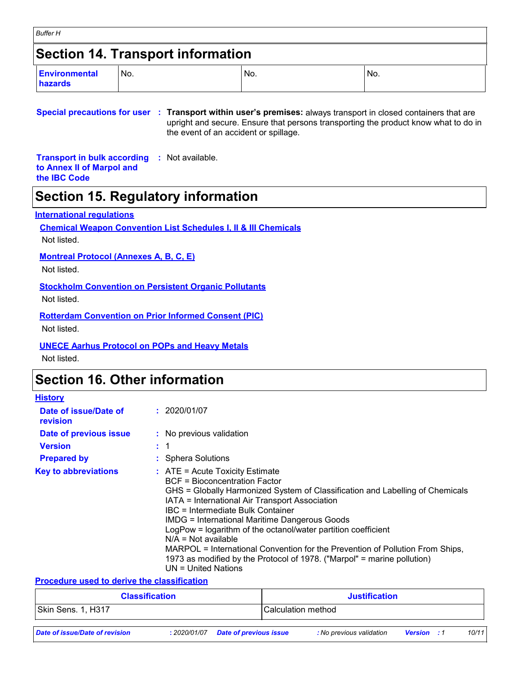| <b>Buffer H</b>                          |       |     |                 |  |  |  |  |  |
|------------------------------------------|-------|-----|-----------------|--|--|--|--|--|
| <b>Section 14. Transport information</b> |       |     |                 |  |  |  |  |  |
| Environmental<br>hazards                 | I No. | No. | IN <sub>o</sub> |  |  |  |  |  |

#### **Special precautions for user : Transport within user's premises:** always transport in closed containers that are upright and secure. Ensure that persons transporting the product know what to do in the event of an accident or spillage.

**Transport in bulk according :** Not available. **to Annex II of Marpol and the IBC Code**

### **Section 15. Regulatory information**

#### **International regulations**

**Chemical Weapon Convention List Schedules I, II & III Chemicals**

Not listed.

**Montreal Protocol (Annexes A, B, C, E)**

Not listed.

**Stockholm Convention on Persistent Organic Pollutants**

Not listed.

**Rotterdam Convention on Prior Informed Consent (PIC)**

Not listed.

**UNECE Aarhus Protocol on POPs and Heavy Metals**

Not listed.

### **Section 16. Other information**

| <b>History</b>                    |                                                                                                                                                                                                                                                                                                                                                                                                                                                                                                                                                                                            |
|-----------------------------------|--------------------------------------------------------------------------------------------------------------------------------------------------------------------------------------------------------------------------------------------------------------------------------------------------------------------------------------------------------------------------------------------------------------------------------------------------------------------------------------------------------------------------------------------------------------------------------------------|
| Date of issue/Date of<br>revision | : 2020/01/07                                                                                                                                                                                                                                                                                                                                                                                                                                                                                                                                                                               |
| Date of previous issue            | : No previous validation                                                                                                                                                                                                                                                                                                                                                                                                                                                                                                                                                                   |
| <b>Version</b>                    | $\div$ 1                                                                                                                                                                                                                                                                                                                                                                                                                                                                                                                                                                                   |
| <b>Prepared by</b>                | : Sphera Solutions                                                                                                                                                                                                                                                                                                                                                                                                                                                                                                                                                                         |
| <b>Key to abbreviations</b>       | $\therefore$ ATE = Acute Toxicity Estimate<br>BCF = Bioconcentration Factor<br>GHS = Globally Harmonized System of Classification and Labelling of Chemicals<br>IATA = International Air Transport Association<br>IBC = Intermediate Bulk Container<br><b>IMDG = International Maritime Dangerous Goods</b><br>LogPow = logarithm of the octanol/water partition coefficient<br>$N/A = Not available$<br>MARPOL = International Convention for the Prevention of Pollution From Ships,<br>1973 as modified by the Protocol of 1978. ("Marpol" = marine pollution)<br>$UN = United Nations$ |

#### **Procedure used to derive the classification**

| <b>Classification</b>          |              | <b>Justification</b>          |                    |                          |                    |  |       |
|--------------------------------|--------------|-------------------------------|--------------------|--------------------------|--------------------|--|-------|
| Skin Sens. 1, H317             |              |                               | Calculation method |                          |                    |  |       |
| Date of issue/Date of revision | : 2020/01/07 | <b>Date of previous issue</b> |                    | : No previous validation | <b>Version</b> : 1 |  | 10/11 |